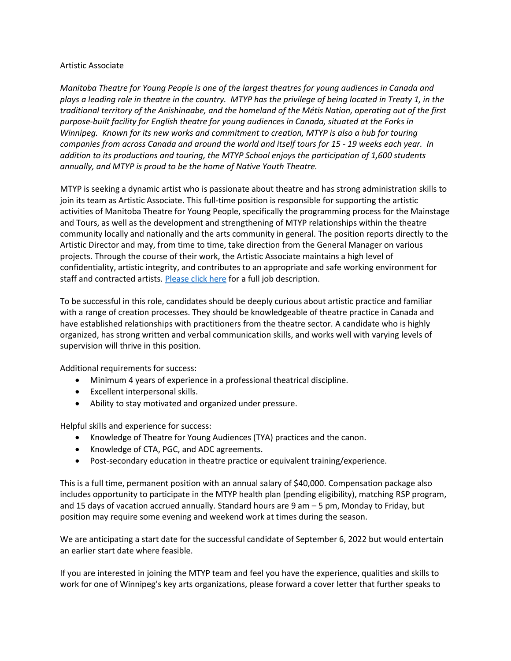## Artistic Associate

*Manitoba Theatre for Young People is one of the largest theatres for young audiences in Canada and plays a leading role in theatre in the country. MTYP has the privilege of being located in Treaty 1, in the traditional territory of the Anishinaabe, and the homeland of the Métis Nation, operating out of the first purpose-built facility for English theatre for young audiences in Canada, situated at the Forks in Winnipeg. Known for its new works and commitment to creation, MTYP is also a hub for touring companies from across Canada and around the world and itself tours for 15 - 19 weeks each year. In addition to its productions and touring, the MTYP School enjoys the participation of 1,600 students annually, and MTYP is proud to be the home of Native Youth Theatre.*

MTYP is seeking a dynamic artist who is passionate about theatre and has strong administration skills to join its team as Artistic Associate. This full-time position is responsible for supporting the artistic activities of Manitoba Theatre for Young People, specifically the programming process for the Mainstage and Tours, as well as the development and strengthening of MTYP relationships within the theatre community locally and nationally and the arts community in general. The position reports directly to the Artistic Director and may, from time to time, take direction from the General Manager on various projects. Through the course of their work, the Artistic Associate maintains a high level of confidentiality, artistic integrity, and contributes to an appropriate and safe working environment for staff and contracted artists[. Please click here](https://mtyp.ca/wp-content/uploads/2022/06/Artistic-Associate-Job-Description.docx) for a full job description.

To be successful in this role, candidates should be deeply curious about artistic practice and familiar with a range of creation processes. They should be knowledgeable of theatre practice in Canada and have established relationships with practitioners from the theatre sector. A candidate who is highly organized, has strong written and verbal communication skills, and works well with varying levels of supervision will thrive in this position.

Additional requirements for success:

- Minimum 4 years of experience in a professional theatrical discipline.
- Excellent interpersonal skills.
- Ability to stay motivated and organized under pressure.

Helpful skills and experience for success:

- Knowledge of Theatre for Young Audiences (TYA) practices and the canon.
- Knowledge of CTA, PGC, and ADC agreements.
- Post-secondary education in theatre practice or equivalent training/experience.

This is a full time, permanent position with an annual salary of \$40,000. Compensation package also includes opportunity to participate in the MTYP health plan (pending eligibility), matching RSP program, and 15 days of vacation accrued annually. Standard hours are 9 am – 5 pm, Monday to Friday, but position may require some evening and weekend work at times during the season.

We are anticipating a start date for the successful candidate of September 6, 2022 but would entertain an earlier start date where feasible.

If you are interested in joining the MTYP team and feel you have the experience, qualities and skills to work for one of Winnipeg's key arts organizations, please forward a cover letter that further speaks to